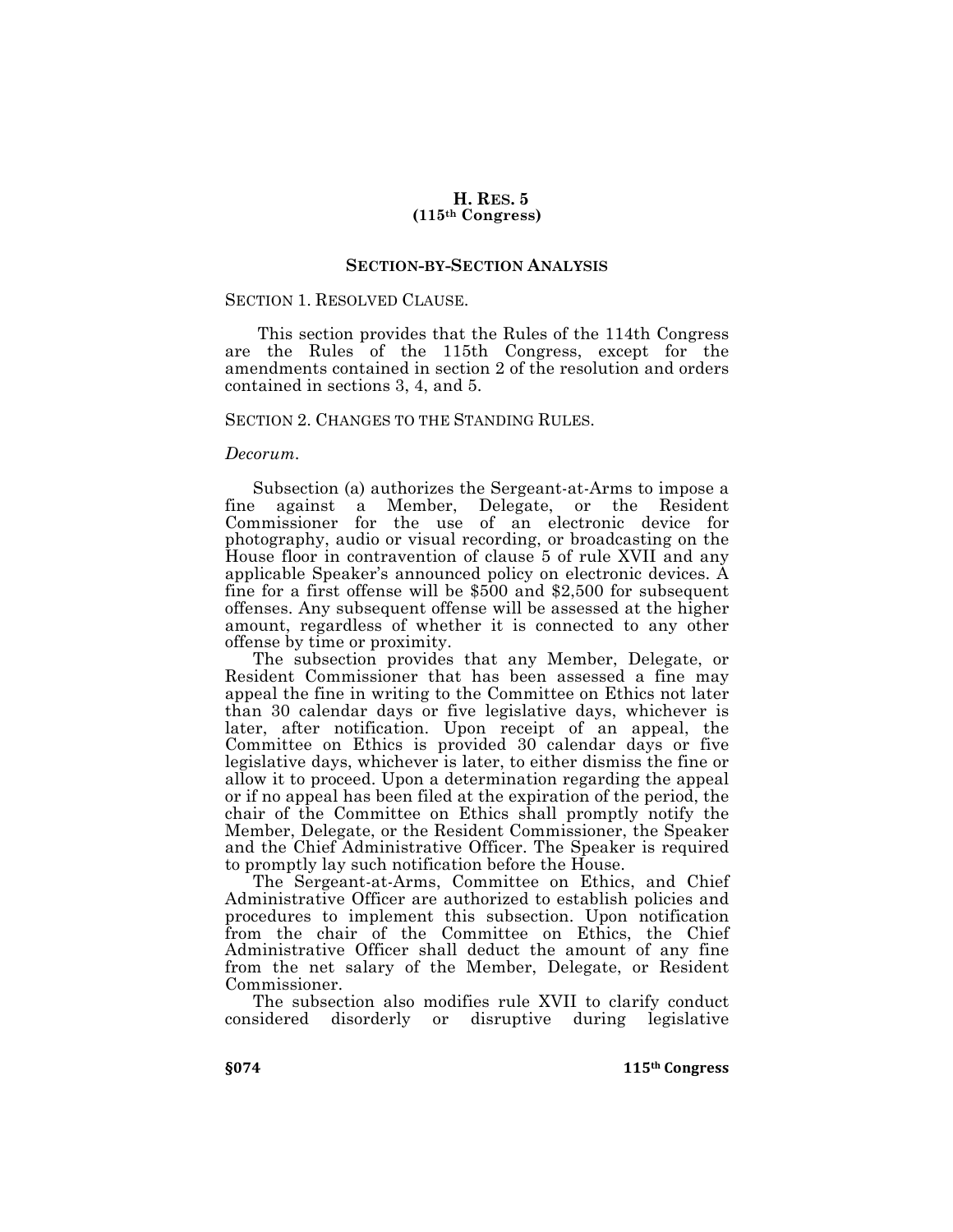## **H. RES. 5 (115th Congress)**

## **SECTION-BY-SECTION ANALYSIS**

#### SECTION 1. RESOLVED CLAUSE.

This section provides that the Rules of the 114th Congress are the Rules of the 115th Congress, except for the amendments contained in section 2 of the resolution and orders contained in sections 3, 4, and 5.

#### SECTION 2. CHANGES TO THE STANDING RULES.

#### *Decorum.*

Subsection (a) authorizes the Sergeant-at-Arms to impose a fine against a Member, Delegate, or the Resident Commissioner for the use of an electronic device for photography, audio or visual recording, or broadcasting on the House floor in contravention of clause 5 of rule XVII and any applicable Speaker's announced policy on electronic devices. A fine for a first offense will be \$500 and \$2,500 for subsequent offenses. Any subsequent offense will be assessed at the higher amount, regardless of whether it is connected to any other offense by time or proximity.

The subsection provides that any Member, Delegate, or Resident Commissioner that has been assessed a fine may appeal the fine in writing to the Committee on Ethics not later than 30 calendar days or five legislative days, whichever is later, after notification. Upon receipt of an appeal, the Committee on Ethics is provided 30 calendar days or five legislative days, whichever is later, to either dismiss the fine or allow it to proceed. Upon a determination regarding the appeal or if no appeal has been filed at the expiration of the period, the chair of the Committee on Ethics shall promptly notify the Member, Delegate, or the Resident Commissioner, the Speaker and the Chief Administrative Officer. The Speaker is required to promptly lay such notification before the House.

The Sergeant-at-Arms, Committee on Ethics, and Chief Administrative Officer are authorized to establish policies and procedures to implement this subsection. Upon notification from the chair of the Committee on Ethics, the Chief Administrative Officer shall deduct the amount of any fine from the net salary of the Member, Delegate, or Resident Commissioner.

The subsection also modifies rule XVII to clarify conduct considered disorderly or disruptive during legislative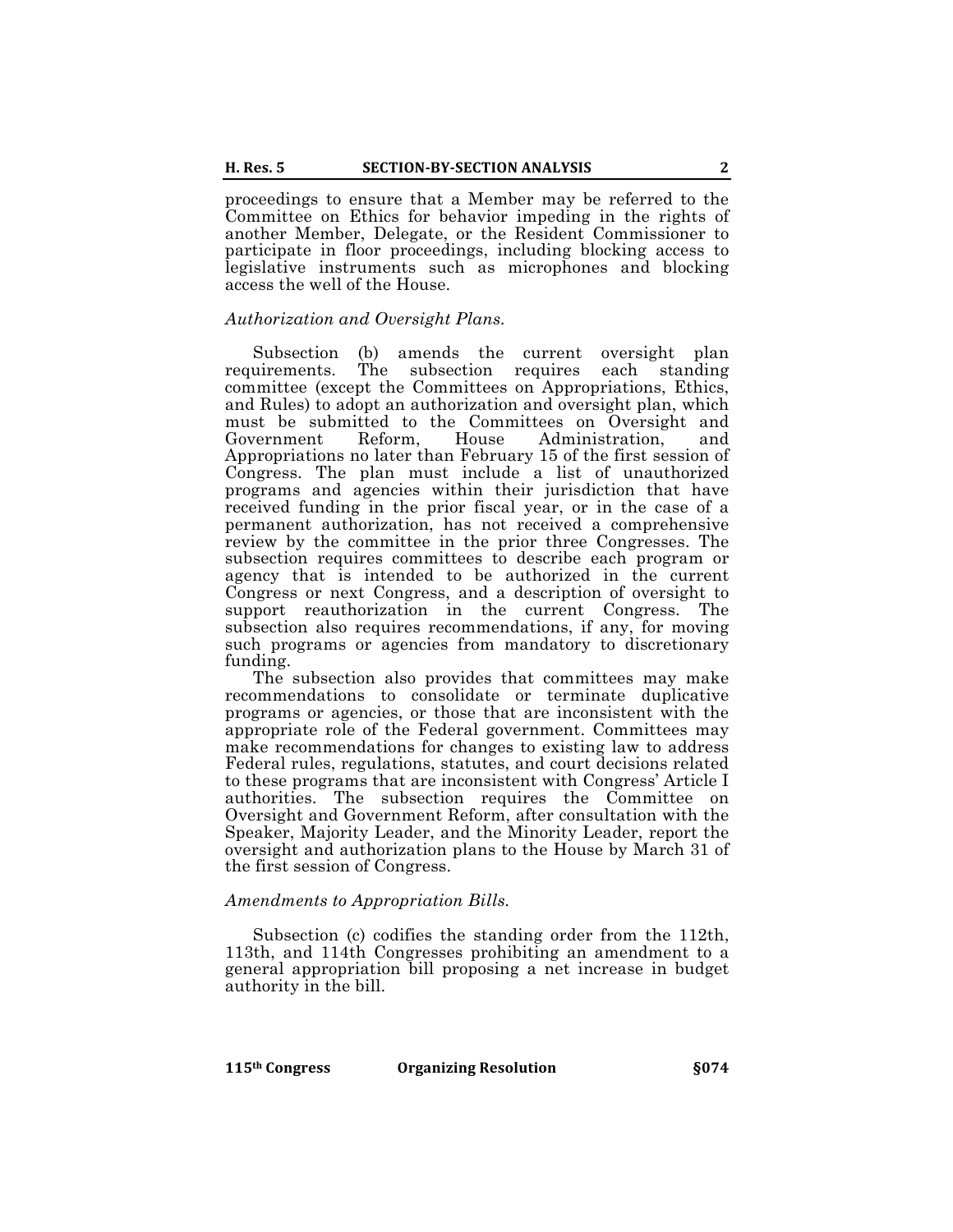proceedings to ensure that a Member may be referred to the Committee on Ethics for behavior impeding in the rights of another Member, Delegate, or the Resident Commissioner to participate in floor proceedings, including blocking access to legislative instruments such as microphones and blocking access the well of the House.

## *Authorization and Oversight Plans.*

Subsection (b) amends the current oversight plan requirements. The subsection requires each committee (except the Committees on Appropriations, Ethics, and Rules) to adopt an authorization and oversight plan, which must be submitted to the Committees on Oversight and Government Reform, House Administration, and Appropriations no later than February 15 of the first session of Congress. The plan must include a list of unauthorized programs and agencies within their jurisdiction that have received funding in the prior fiscal year, or in the case of a permanent authorization, has not received a comprehensive review by the committee in the prior three Congresses. The subsection requires committees to describe each program or agency that is intended to be authorized in the current Congress or next Congress, and a description of oversight to support reauthorization in the current Congress. The subsection also requires recommendations, if any, for moving such programs or agencies from mandatory to discretionary funding.

The subsection also provides that committees may make recommendations to consolidate or terminate duplicative programs or agencies, or those that are inconsistent with the appropriate role of the Federal government. Committees may make recommendations for changes to existing law to address Federal rules, regulations, statutes, and court decisions related to these programs that are inconsistent with Congress' Article I authorities. The subsection requires the Committee on Oversight and Government Reform, after consultation with the Speaker, Majority Leader, and the Minority Leader, report the oversight and authorization plans to the House by March 31 of the first session of Congress.

# *Amendments to Appropriation Bills.*

Subsection (c) codifies the standing order from the 112th, 113th, and 114th Congresses prohibiting an amendment to a general appropriation bill proposing a net increase in budget authority in the bill.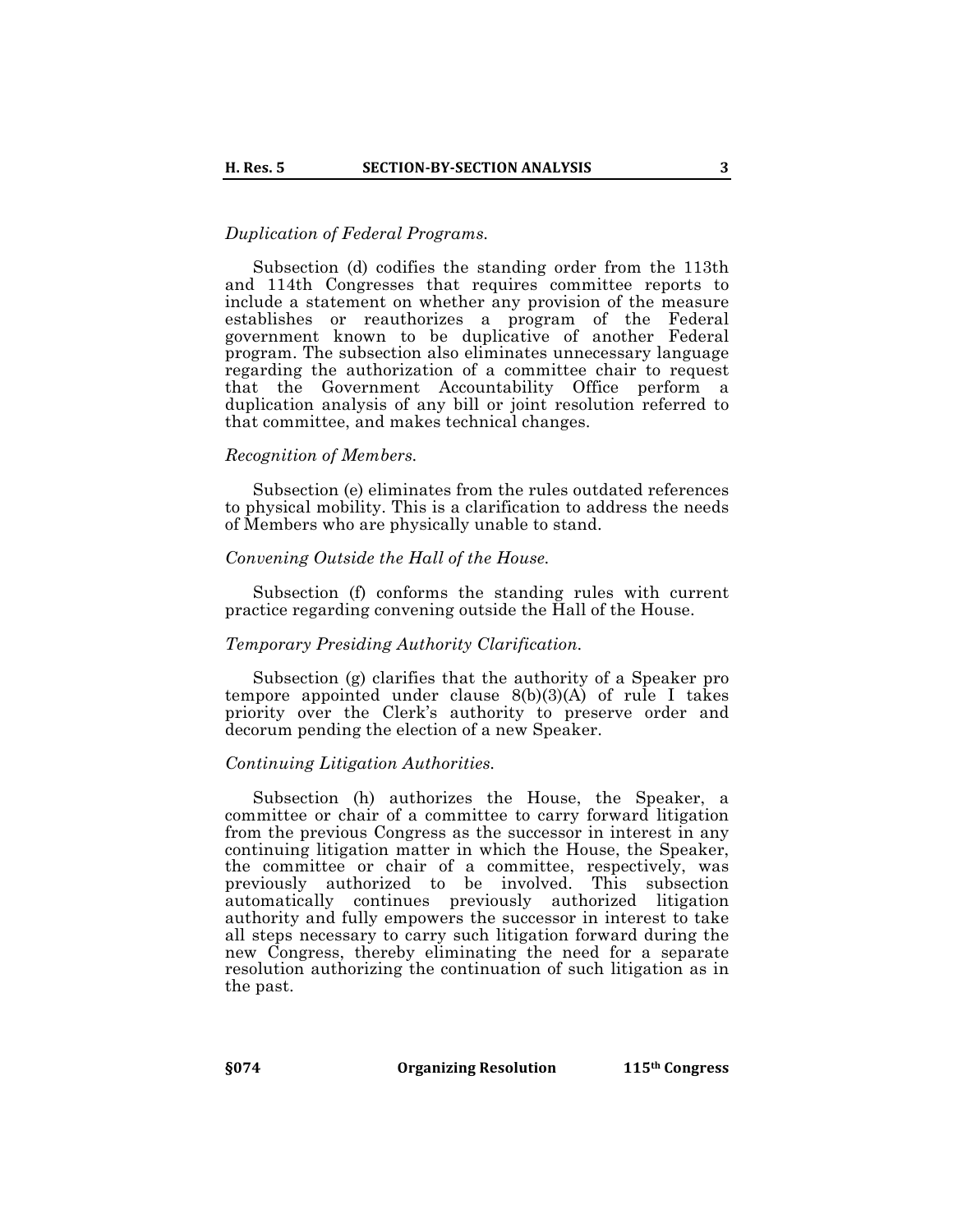# *Duplication of Federal Programs.*

Subsection (d) codifies the standing order from the 113th and 114th Congresses that requires committee reports to include a statement on whether any provision of the measure establishes or reauthorizes a program of the Federal government known to be duplicative of another Federal program. The subsection also eliminates unnecessary language regarding the authorization of a committee chair to request that the Government Accountability Office perform a duplication analysis of any bill or joint resolution referred to that committee, and makes technical changes.

#### *Recognition of Members.*

Subsection (e) eliminates from the rules outdated references to physical mobility. This is a clarification to address the needs of Members who are physically unable to stand.

#### *Convening Outside the Hall of the House.*

Subsection (f) conforms the standing rules with current practice regarding convening outside the Hall of the House.

#### *Temporary Presiding Authority Clarification.*

Subsection (g) clarifies that the authority of a Speaker pro tempore appointed under clause  $8(b)(3)(A)$  of rule I takes priority over the Clerk's authority to preserve order and decorum pending the election of a new Speaker.

#### *Continuing Litigation Authorities.*

Subsection (h) authorizes the House, the Speaker, a committee or chair of a committee to carry forward litigation from the previous Congress as the successor in interest in any continuing litigation matter in which the House, the Speaker, the committee or chair of a committee, respectively, was previously authorized to be involved. This subsection automatically continues previously authorized litigation authority and fully empowers the successor in interest to take all steps necessary to carry such litigation forward during the new Congress, thereby eliminating the need for a separate resolution authorizing the continuation of such litigation as in the past.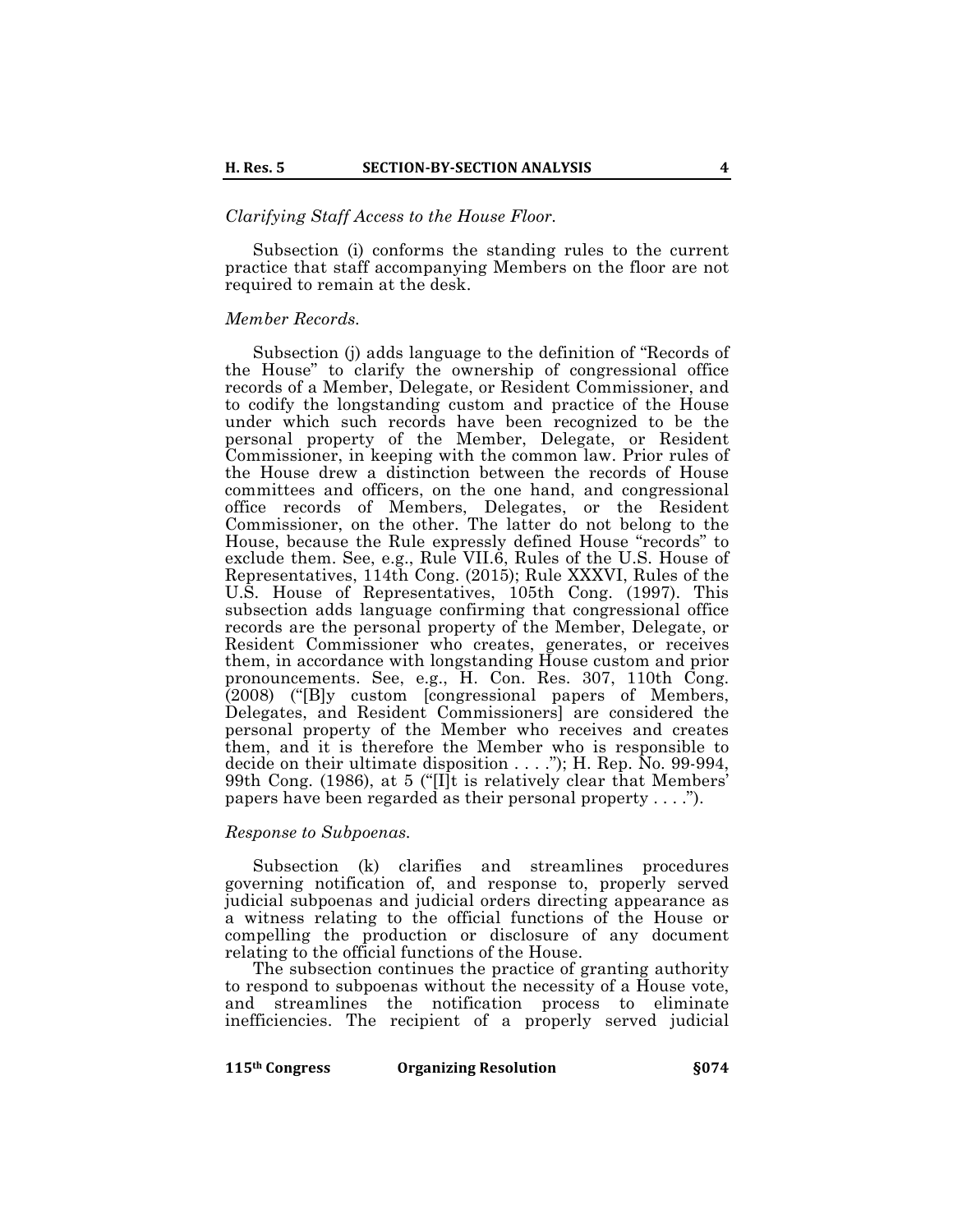## *Clarifying Staff Access to the House Floor.*

Subsection (i) conforms the standing rules to the current practice that staff accompanying Members on the floor are not required to remain at the desk.

#### *Member Records.*

Subsection (i) adds language to the definition of "Records of the House" to clarify the ownership of congressional office records of a Member, Delegate, or Resident Commissioner, and to codify the longstanding custom and practice of the House under which such records have been recognized to be the personal property of the Member, Delegate, or Resident Commissioner, in keeping with the common law. Prior rules of the House drew a distinction between the records of House committees and officers, on the one hand, and congressional office records of Members, Delegates, or the Resident Commissioner, on the other. The latter do not belong to the House, because the Rule expressly defined House "records" to exclude them. See, e.g., Rule VII.6, Rules of the U.S. House of Representatives, 114th Cong. (2015); Rule XXXVI, Rules of the U.S. House of Representatives, 105th Cong. (1997). This subsection adds language confirming that congressional office records are the personal property of the Member, Delegate, or Resident Commissioner who creates, generates, or receives them, in accordance with longstanding House custom and prior pronouncements. See, e.g., H. Con. Res. 307, 110th Cong. (2008) ("[B]y custom [congressional papers of Members, Delegates, and Resident Commissioners] are considered the personal property of the Member who receives and creates them, and it is therefore the Member who is responsible to decide on their ultimate disposition . . . ."); H. Rep. No. 99-994, 99th Cong. (1986), at 5 ("[I]t is relatively clear that Members' papers have been regarded as their personal property . . . .").

#### *Response to Subpoenas.*

Subsection (k) clarifies and streamlines procedures governing notification of, and response to, properly served judicial subpoenas and judicial orders directing appearance as a witness relating to the official functions of the House or compelling the production or disclosure of any document relating to the official functions of the House.

The subsection continues the practice of granting authority to respond to subpoenas without the necessity of a House vote, and streamlines the notification process to eliminate inefficiencies. The recipient of a properly served judicial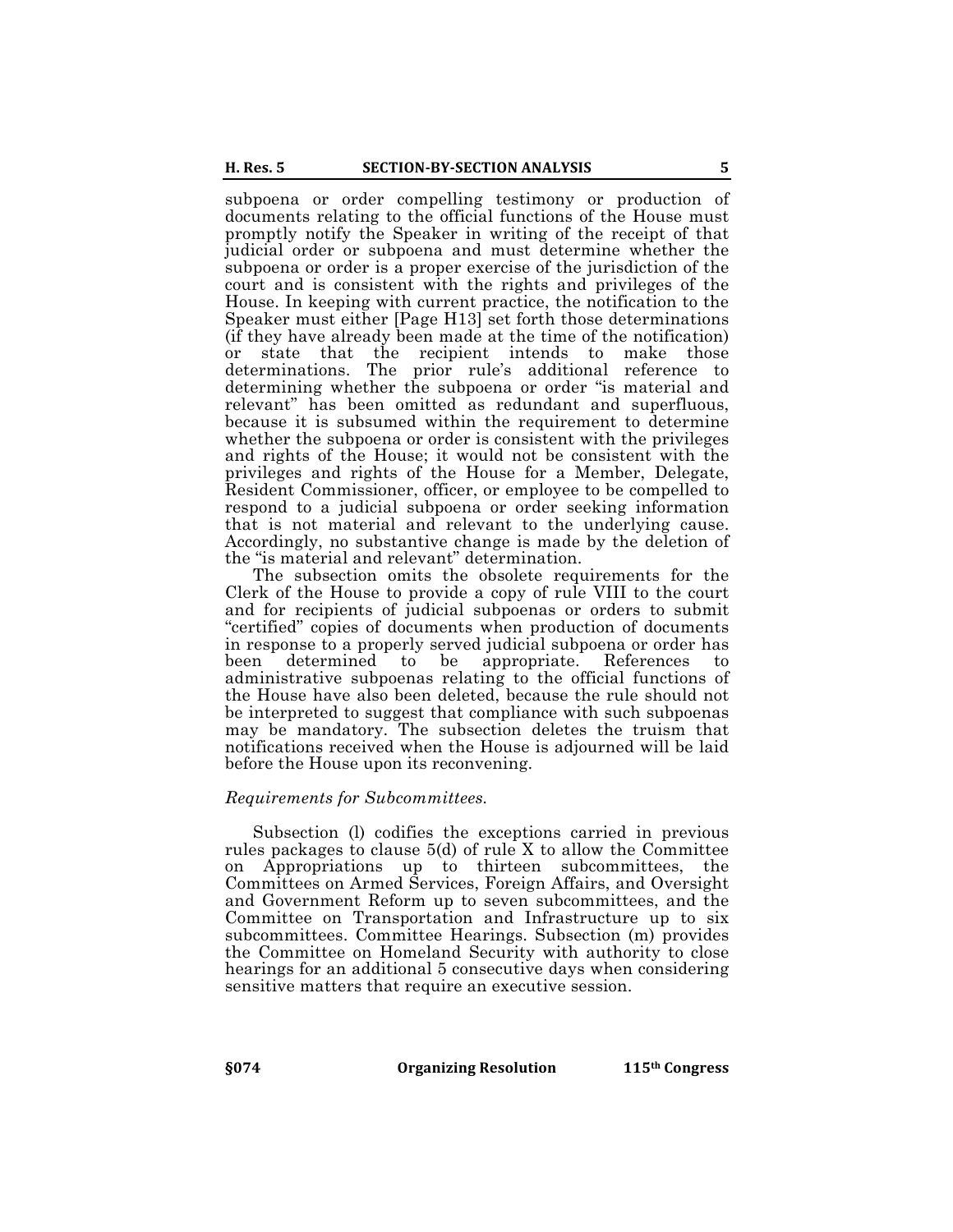subpoena or order compelling testimony or production of documents relating to the official functions of the House must promptly notify the Speaker in writing of the receipt of that judicial order or subpoena and must determine whether the subpoena or order is a proper exercise of the jurisdiction of the court and is consistent with the rights and privileges of the House. In keeping with current practice, the notification to the Speaker must either [Page H13] set forth those determinations (if they have already been made at the time of the notification) or state that the recipient intends to make those determinations. The prior rule's additional reference to determining whether the subpoena or order "is material and relevant" has been omitted as redundant and superfluous, because it is subsumed within the requirement to determine whether the subpoena or order is consistent with the privileges and rights of the House; it would not be consistent with the privileges and rights of the House for a Member, Delegate, Resident Commissioner, officer, or employee to be compelled to respond to a judicial subpoena or order seeking information that is not material and relevant to the underlying cause. Accordingly, no substantive change is made by the deletion of the "is material and relevant" determination.

The subsection omits the obsolete requirements for the Clerk of the House to provide a copy of rule VIII to the court and for recipients of judicial subpoenas or orders to submit "certified" copies of documents when production of documents in response to a properly served judicial subpoena or order has been determined to be appropriate. References to administrative subpoenas relating to the official functions of the House have also been deleted, because the rule should not be interpreted to suggest that compliance with such subpoenas may be mandatory. The subsection deletes the truism that notifications received when the House is adjourned will be laid before the House upon its reconvening.

## *Requirements for Subcommittees.*

Subsection (l) codifies the exceptions carried in previous rules packages to clause 5(d) of rule X to allow the Committee on Appropriations up to thirteen subcommittees, the Committees on Armed Services, Foreign Affairs, and Oversight and Government Reform up to seven subcommittees, and the Committee on Transportation and Infrastructure up to six subcommittees. Committee Hearings. Subsection (m) provides the Committee on Homeland Security with authority to close hearings for an additional 5 consecutive days when considering sensitive matters that require an executive session.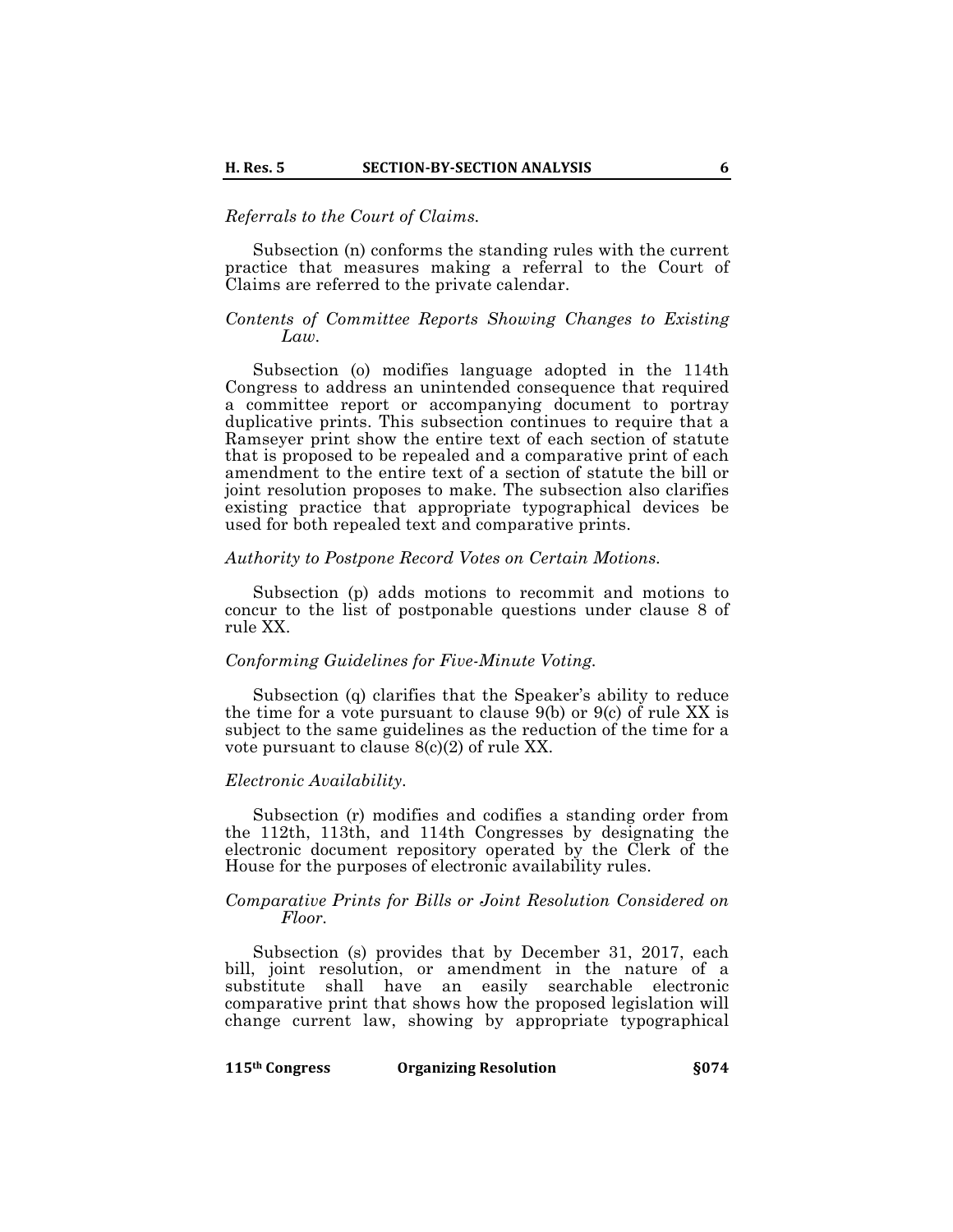# *Referrals to the Court of Claims.*

Subsection (n) conforms the standing rules with the current practice that measures making a referral to the Court of Claims are referred to the private calendar.

# *Contents of Committee Reports Showing Changes to Existing Law.*

Subsection (o) modifies language adopted in the 114th Congress to address an unintended consequence that required a committee report or accompanying document to portray duplicative prints. This subsection continues to require that a Ramseyer print show the entire text of each section of statute that is proposed to be repealed and a comparative print of each amendment to the entire text of a section of statute the bill or joint resolution proposes to make. The subsection also clarifies existing practice that appropriate typographical devices be used for both repealed text and comparative prints.

## *Authority to Postpone Record Votes on Certain Motions.*

Subsection (p) adds motions to recommit and motions to concur to the list of postponable questions under clause 8 of rule XX.

## *Conforming Guidelines for Five-Minute Voting.*

Subsection (q) clarifies that the Speaker's ability to reduce the time for a vote pursuant to clause 9(b) or 9(c) of rule XX is subject to the same guidelines as the reduction of the time for a vote pursuant to clause 8(c)(2) of rule XX.

# *Electronic Availability.*

Subsection (r) modifies and codifies a standing order from the 112th, 113th, and 114th Congresses by designating the electronic document repository operated by the Clerk of the House for the purposes of electronic availability rules.

#### *Comparative Prints for Bills or Joint Resolution Considered on Floor.*

Subsection (s) provides that by December 31, 2017, each bill, joint resolution, or amendment in the nature of a substitute shall have an easily searchable electronic comparative print that shows how the proposed legislation will change current law, showing by appropriate typographical

|  | 115 <sup>th</sup> Congress |  |
|--|----------------------------|--|
|--|----------------------------|--|

**115th Congress Congress Congress Congress Congress Congress Congress Congress Congress Congress Congress Congress Congress Congress Congress Congress Congress Congress Congress Cong**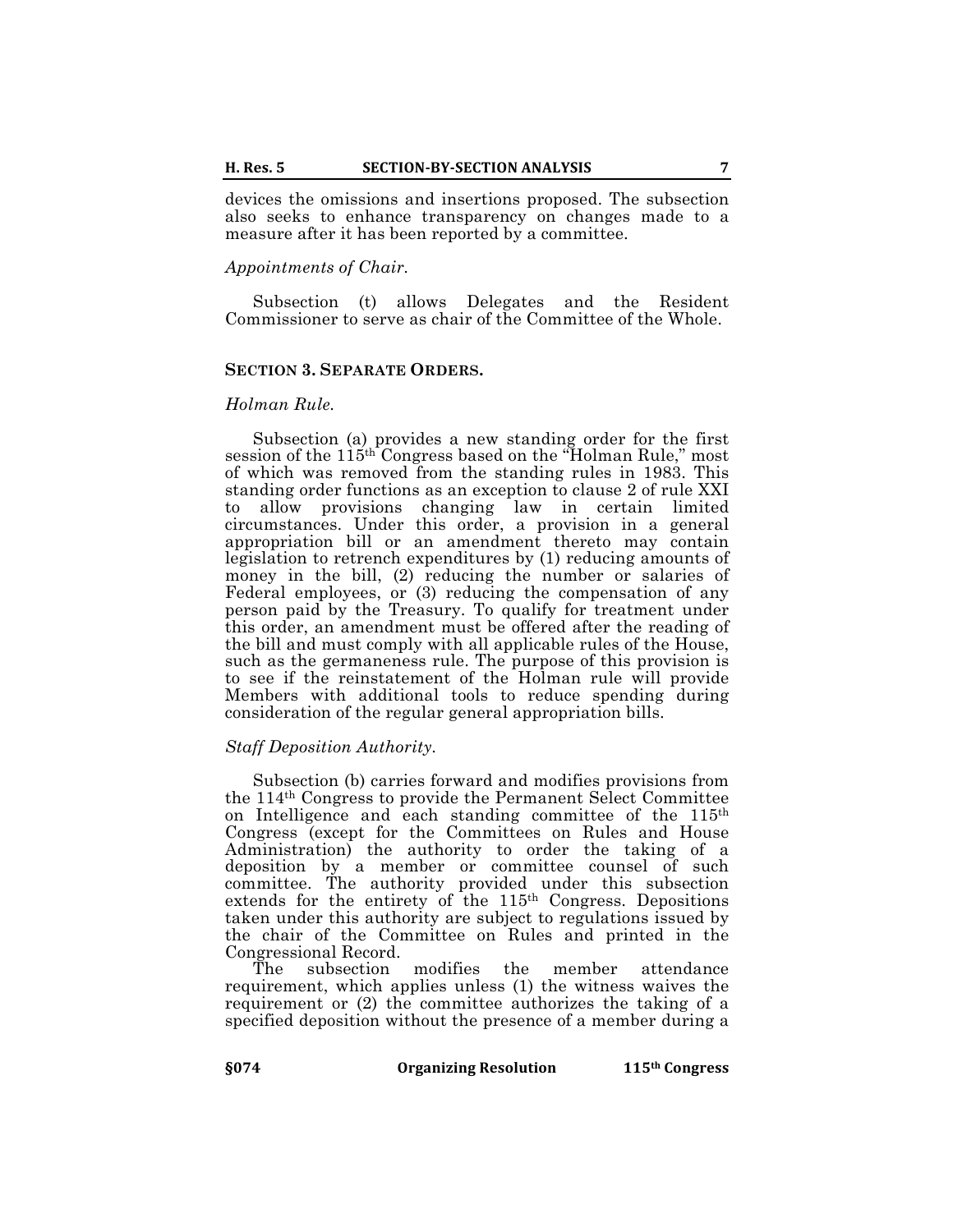devices the omissions and insertions proposed. The subsection also seeks to enhance transparency on changes made to a measure after it has been reported by a committee.

## *Appointments of Chair.*

Subsection (t) allows Delegates and the Resident Commissioner to serve as chair of the Committee of the Whole.

#### **SECTION 3. SEPARATE ORDERS.**

### *Holman Rule.*

Subsection (a) provides a new standing order for the first session of the 115th Congress based on the "Holman Rule," most of which was removed from the standing rules in 1983. This standing order functions as an exception to clause 2 of rule XXI to allow provisions changing law in certain limited circumstances. Under this order, a provision in a general appropriation bill or an amendment thereto may contain legislation to retrench expenditures by (1) reducing amounts of money in the bill, (2) reducing the number or salaries of Federal employees, or (3) reducing the compensation of any person paid by the Treasury. To qualify for treatment under this order, an amendment must be offered after the reading of the bill and must comply with all applicable rules of the House, such as the germaneness rule. The purpose of this provision is to see if the reinstatement of the Holman rule will provide Members with additional tools to reduce spending during consideration of the regular general appropriation bills.

### *Staff Deposition Authority.*

Subsection (b) carries forward and modifies provisions from the 114th Congress to provide the Permanent Select Committee on Intelligence and each standing committee of the 115th Congress (except for the Committees on Rules and House Administration) the authority to order the taking of a deposition by a member or committee counsel of such committee. The authority provided under this subsection extends for the entirety of the 115th Congress. Depositions taken under this authority are subject to regulations issued by the chair of the Committee on Rules and printed in the Congressional Record.

The subsection modifies the member attendance requirement, which applies unless (1) the witness waives the requirement or (2) the committee authorizes the taking of a specified deposition without the presence of a member during a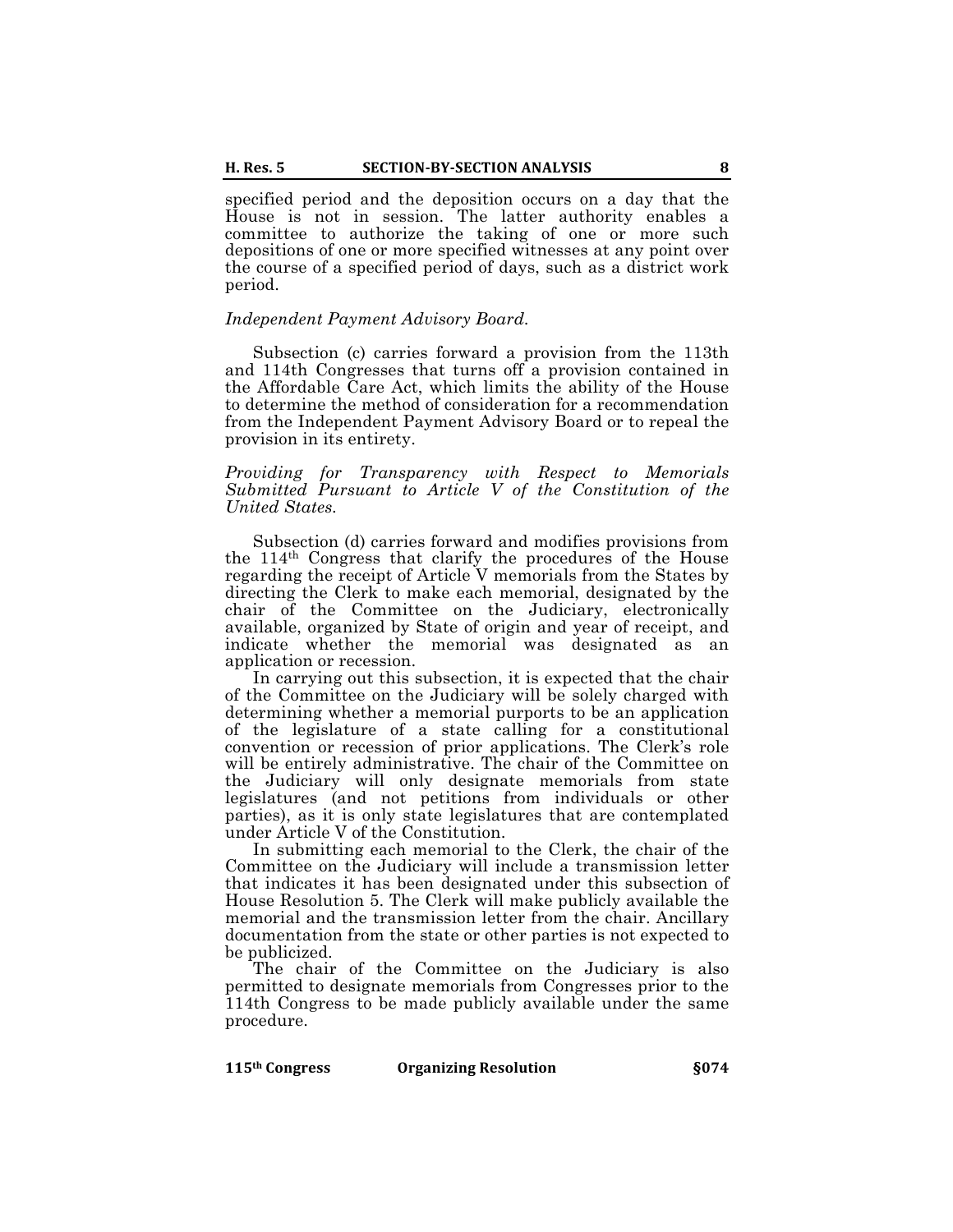specified period and the deposition occurs on a day that the House is not in session. The latter authority enables a committee to authorize the taking of one or more such depositions of one or more specified witnesses at any point over the course of a specified period of days, such as a district work period.

# *Independent Payment Advisory Board.*

Subsection (c) carries forward a provision from the 113th and 114th Congresses that turns off a provision contained in the Affordable Care Act, which limits the ability of the House to determine the method of consideration for a recommendation from the Independent Payment Advisory Board or to repeal the provision in its entirety.

*Providing for Transparency with Respect to Memorials Submitted Pursuant to Article V of the Constitution of the United States.*

Subsection (d) carries forward and modifies provisions from the 114th Congress that clarify the procedures of the House regarding the receipt of Article V memorials from the States by directing the Clerk to make each memorial, designated by the chair of the Committee on the Judiciary, electronically available, organized by State of origin and year of receipt, and indicate whether the memorial was designated as an application or recession.

In carrying out this subsection, it is expected that the chair of the Committee on the Judiciary will be solely charged with determining whether a memorial purports to be an application of the legislature of a state calling for a constitutional convention or recession of prior applications. The Clerk's role will be entirely administrative. The chair of the Committee on the Judiciary will only designate memorials from state legislatures (and not petitions from individuals or other parties), as it is only state legislatures that are contemplated under Article V of the Constitution.

In submitting each memorial to the Clerk, the chair of the Committee on the Judiciary will include a transmission letter that indicates it has been designated under this subsection of House Resolution 5. The Clerk will make publicly available the memorial and the transmission letter from the chair. Ancillary documentation from the state or other parties is not expected to be publicized.

The chair of the Committee on the Judiciary is also permitted to designate memorials from Congresses prior to the 114th Congress to be made publicly available under the same procedure.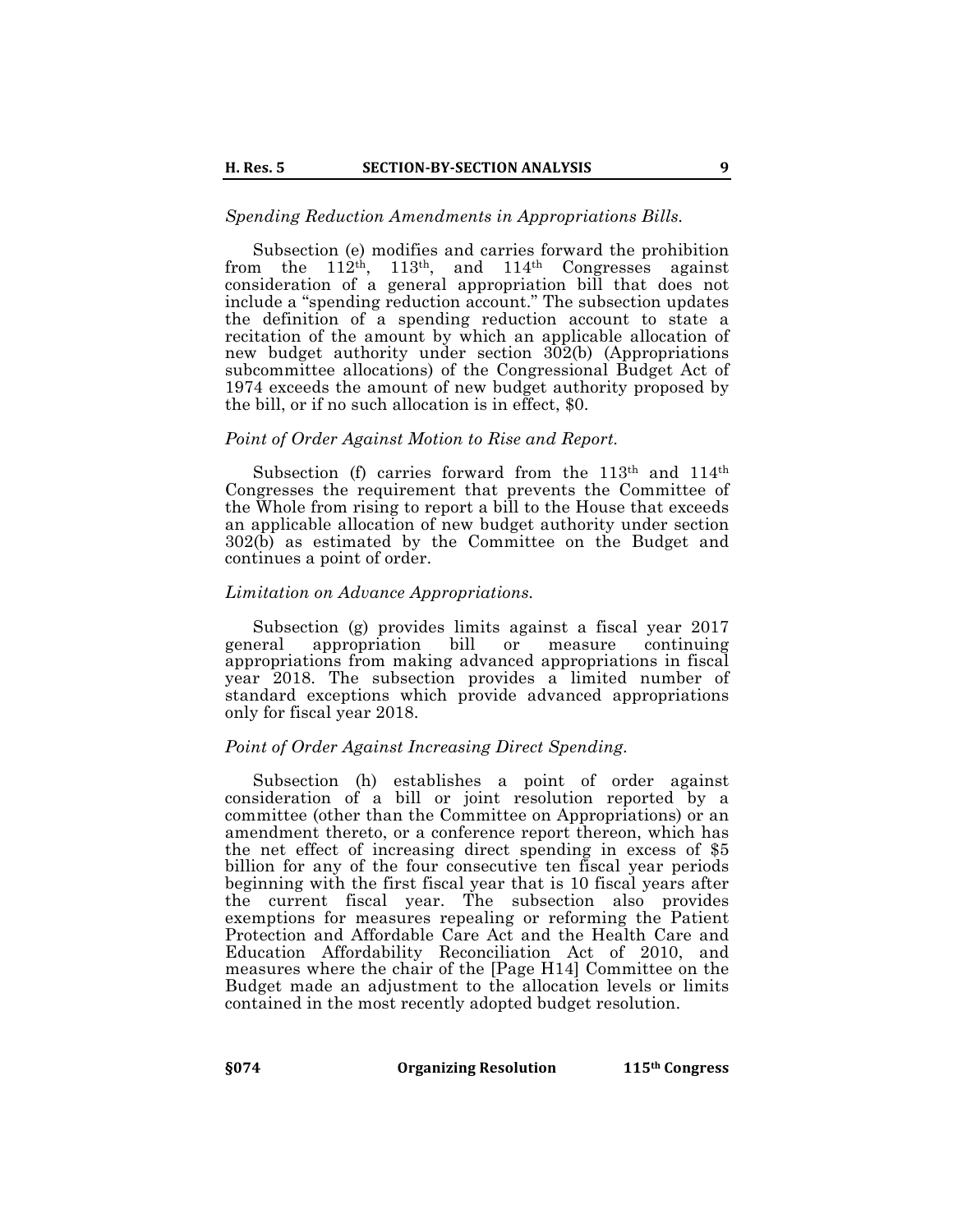#### *Spending Reduction Amendments in Appropriations Bills.*

Subsection (e) modifies and carries forward the prohibition from the  $112^{th}$ ,  $113^{th}$ , and  $114^{th}$  Congresses against consideration of a general appropriation bill that does not include a "spending reduction account." The subsection updates the definition of a spending reduction account to state a recitation of the amount by which an applicable allocation of new budget authority under section  $302(b)$  (Appropriations subcommittee allocations) of the Congressional Budget Act of 1974 exceeds the amount of new budget authority proposed by the bill, or if no such allocation is in effect, \$0.

#### *Point of Order Against Motion to Rise and Report.*

Subsection (f) carries forward from the  $113<sup>th</sup>$  and  $114<sup>th</sup>$ Congresses the requirement that prevents the Committee of the Whole from rising to report a bill to the House that exceeds an applicable allocation of new budget authority under section  $302(b)$  as estimated by the Committee on the Budget and continues a point of order.

## *Limitation on Advance Appropriations.*

Subsection (g) provides limits against a fiscal year 2017 general appropriation bill or measure continuing appropriations from making advanced appropriations in fiscal year 2018. The subsection provides a limited number of standard exceptions which provide advanced appropriations only for fiscal year 2018.

# *Point of Order Against Increasing Direct Spending.*

Subsection (h) establishes a point of order against consideration of a bill or joint resolution reported by a committee (other than the Committee on Appropriations) or an amendment thereto, or a conference report thereon, which has the net effect of increasing direct spending in excess of \$5 billion for any of the four consecutive ten fiscal year periods beginning with the first fiscal year that is 10 fiscal years after the current fiscal year. The subsection also provides exemptions for measures repealing or reforming the Patient Protection and Affordable Care Act and the Health Care and Education Affordability Reconciliation Act of 2010, and measures where the chair of the [Page H14] Committee on the Budget made an adjustment to the allocation levels or limits contained in the most recently adopted budget resolution.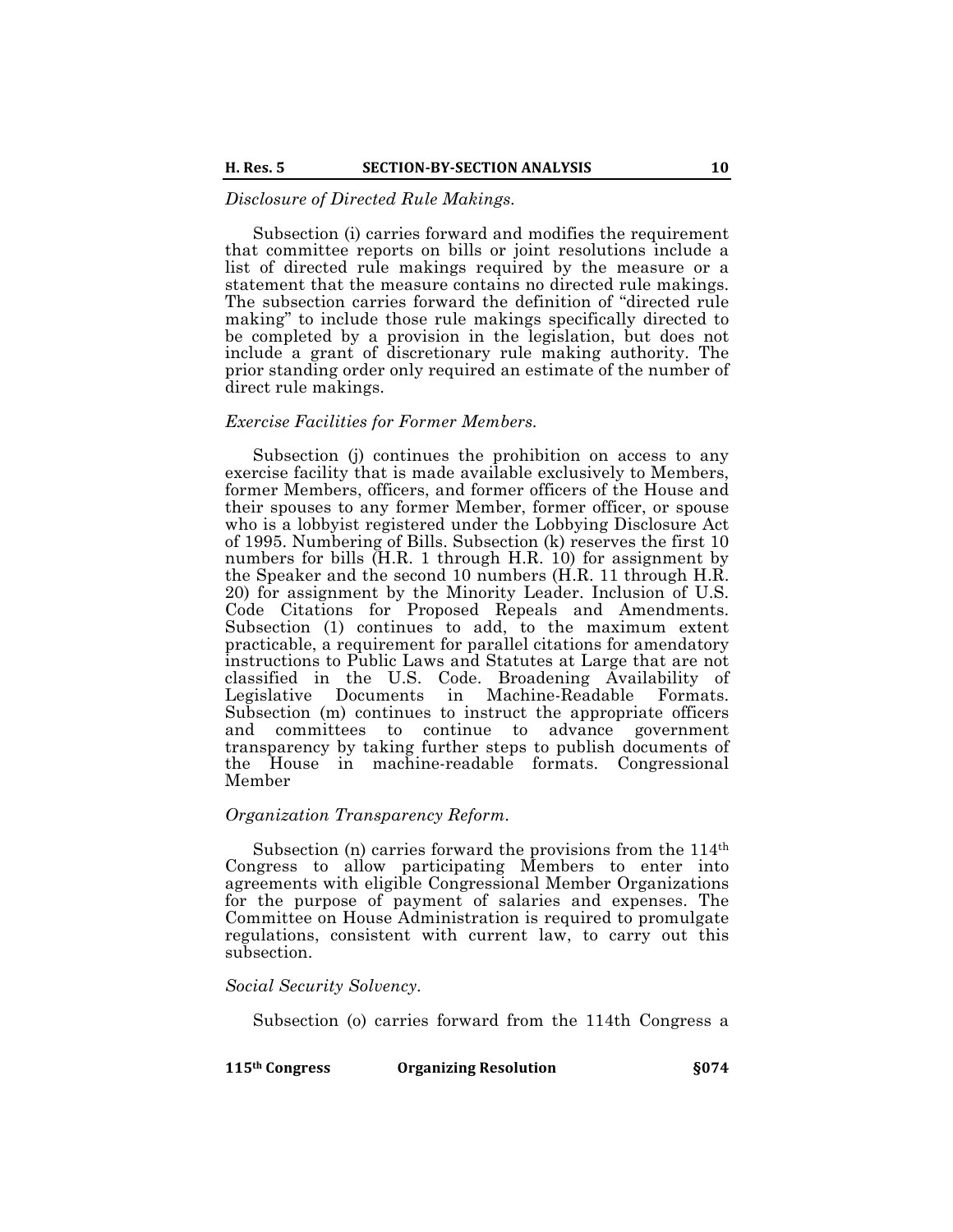# *Disclosure of Directed Rule Makings.*

Subsection (i) carries forward and modifies the requirement that committee reports on bills or joint resolutions include a list of directed rule makings required by the measure or a statement that the measure contains no directed rule makings. The subsection carries forward the definition of "directed rule making" to include those rule makings specifically directed to be completed by a provision in the legislation, but does not include a grant of discretionary rule making authority. The prior standing order only required an estimate of the number of direct rule makings.

#### *Exercise Facilities for Former Members.*

Subsection (j) continues the prohibition on access to any exercise facility that is made available exclusively to Members, former Members, officers, and former officers of the House and their spouses to any former Member, former officer, or spouse who is a lobbyist registered under the Lobbying Disclosure Act of 1995. Numbering of Bills. Subsection (k) reserves the first 10 numbers for bills  $(H.R. 1$  through H.R. 10) for assignment by the Speaker and the second 10 numbers (H.R. 11 through H.R. 20) for assignment by the Minority Leader. Inclusion of U.S. Code Citations for Proposed Repeals and Amendments. Subsection (1) continues to add, to the maximum extent practicable, a requirement for parallel citations for amendatory instructions to Public Laws and Statutes at Large that are not classified in the U.S. Code. Broadening Availability of Legislative Documents in Machine-Readable Formats. Subsection (m) continues to instruct the appropriate officers and committees to continue to advance government transparency by taking further steps to publish documents of the House in machine-readable formats. Congressional Member

## *Organization Transparency Reform.*

Subsection (n) carries forward the provisions from the 114<sup>th</sup> Congress to allow participating Members to enter into agreements with eligible Congressional Member Organizations for the purpose of payment of salaries and expenses. The Committee on House Administration is required to promulgate regulations, consistent with current law, to carry out this subsection.

## *Social Security Solvency.*

Subsection (o) carries forward from the 114th Congress a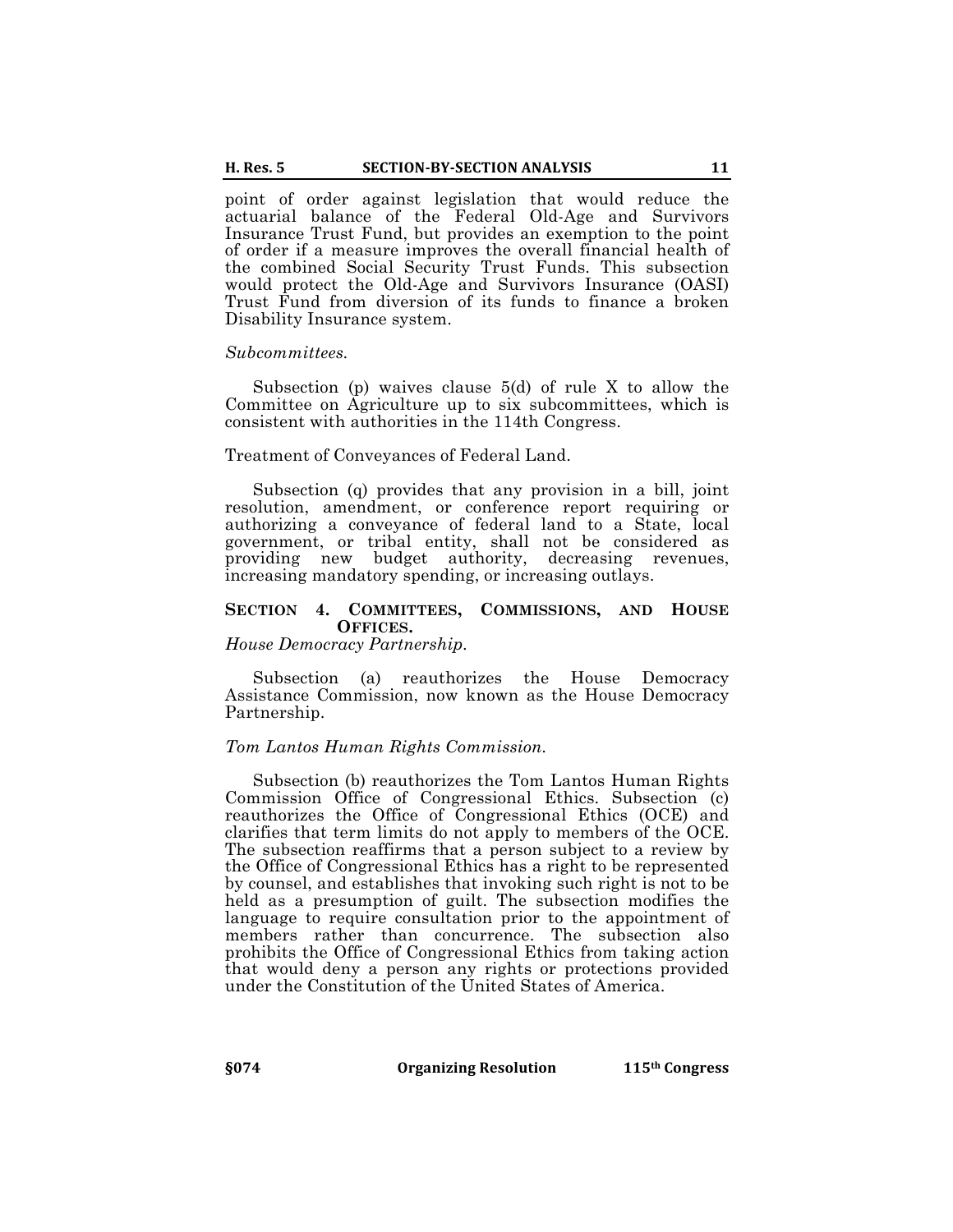point of order against legislation that would reduce the actuarial balance of the Federal Old-Age and Survivors Insurance Trust Fund, but provides an exemption to the point of order if a measure improves the overall financial health of the combined Social Security Trust Funds. This subsection would protect the Old-Age and Survivors Insurance (OASI) Trust Fund from diversion of its funds to finance a broken Disability Insurance system.

#### *Subcommittees.*

Subsection (p) waives clause 5(d) of rule X to allow the Committee on Agriculture up to six subcommittees, which is consistent with authorities in the 114th Congress.

## Treatment of Conveyances of Federal Land.

Subsection (q) provides that any provision in a bill, joint resolution, amendment, or conference report requiring or authorizing a conveyance of federal land to a State, local government, or tribal entity, shall not be considered as providing new budget authority, decreasing revenues, increasing mandatory spending, or increasing outlays.

#### **SECTION 4. COMMITTEES, COMMISSIONS, AND HOUSE OFFICES.**

*House Democracy Partnership.*

Subsection (a) reauthorizes the House Democracy Assistance Commission, now known as the House Democracy Partnership.

#### *Tom Lantos Human Rights Commission.*

Subsection (b) reauthorizes the Tom Lantos Human Rights Commission Office of Congressional Ethics. Subsection (c) reauthorizes the Office of Congressional Ethics (OCE) and clarifies that term limits do not apply to members of the OCE. The subsection reaffirms that a person subject to a review by the Office of Congressional Ethics has a right to be represented by counsel, and establishes that invoking such right is not to be held as a presumption of guilt. The subsection modifies the language to require consultation prior to the appointment of members rather than concurrence. The subsection also prohibits the Office of Congressional Ethics from taking action that would deny a person any rights or protections provided under the Constitution of the United States of America.